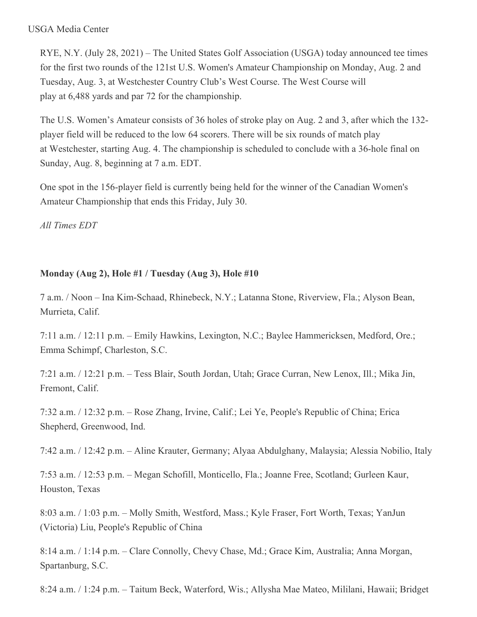#### USGA Media Center

RYE, N.Y. (July 28, 2021) – The United States Golf Association (USGA) today announced tee times for the first two rounds of the 121st U.S. Women's Amateur Championship on Monday, Aug. 2 and Tuesday, Aug. 3, at Westchester Country Club's West Course. The West Course will play at 6,488 yards and par 72 for the championship.

The U.S. Women's Amateur consists of 36 holes of stroke play on Aug. 2 and 3, after which the 132 player field will be reduced to the low 64 scorers. There will be six rounds of match play at Westchester, starting Aug. 4. The championship is scheduled to conclude with a 36-hole final on Sunday, Aug. 8, beginning at 7 a.m. EDT.

One spot in the 156-player field is currently being held for the winner of the Canadian Women's Amateur Championship that ends this Friday, July 30.

*All Times EDT*

# **Monday (Aug 2), Hole #1 / Tuesday (Aug 3), Hole #10**

7 a.m. / Noon – Ina Kim-Schaad, Rhinebeck, N.Y.; Latanna Stone, Riverview, Fla.; Alyson Bean, Murrieta, Calif.

7:11 a.m. / 12:11 p.m. – Emily Hawkins, Lexington, N.C.; Baylee Hammericksen, Medford, Ore.; Emma Schimpf, Charleston, S.C.

7:21 a.m. / 12:21 p.m. – Tess Blair, South Jordan, Utah; Grace Curran, New Lenox, Ill.; Mika Jin, Fremont, Calif.

7:32 a.m. / 12:32 p.m. – Rose Zhang, Irvine, Calif.; Lei Ye, People's Republic of China; Erica Shepherd, Greenwood, Ind.

7:42 a.m. / 12:42 p.m. – Aline Krauter, Germany; Alyaa Abdulghany, Malaysia; Alessia Nobilio, Italy

7:53 a.m. / 12:53 p.m. – Megan Schofill, Monticello, Fla.; Joanne Free, Scotland; Gurleen Kaur, Houston, Texas

8:03 a.m. / 1:03 p.m. – Molly Smith, Westford, Mass.; Kyle Fraser, Fort Worth, Texas; YanJun (Victoria) Liu, People's Republic of China

8:14 a.m. / 1:14 p.m. – Clare Connolly, Chevy Chase, Md.; Grace Kim, Australia; Anna Morgan, Spartanburg, S.C.

8:24 a.m. / 1:24 p.m. – Taitum Beck, Waterford, Wis.; Allysha Mae Mateo, Mililani, Hawaii; Bridget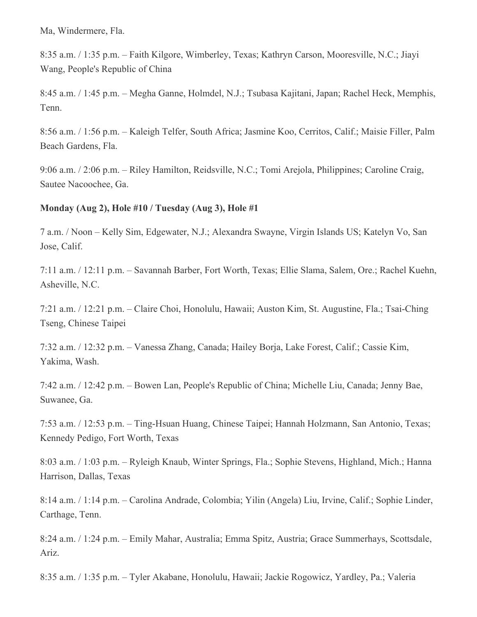Ma, Windermere, Fla.

8:35 a.m. / 1:35 p.m. – Faith Kilgore, Wimberley, Texas; Kathryn Carson, Mooresville, N.C.; Jiayi Wang, People's Republic of China

8:45 a.m. / 1:45 p.m. – Megha Ganne, Holmdel, N.J.; Tsubasa Kajitani, Japan; Rachel Heck, Memphis, Tenn.

8:56 a.m. / 1:56 p.m. – Kaleigh Telfer, South Africa; Jasmine Koo, Cerritos, Calif.; Maisie Filler, Palm Beach Gardens, Fla.

9:06 a.m. / 2:06 p.m. – Riley Hamilton, Reidsville, N.C.; Tomi Arejola, Philippines; Caroline Craig, Sautee Nacoochee, Ga.

### **Monday (Aug 2), Hole #10 / Tuesday (Aug 3), Hole #1**

7 a.m. / Noon – Kelly Sim, Edgewater, N.J.; Alexandra Swayne, Virgin Islands US; Katelyn Vo, San Jose, Calif.

7:11 a.m. / 12:11 p.m. – Savannah Barber, Fort Worth, Texas; Ellie Slama, Salem, Ore.; Rachel Kuehn, Asheville, N.C.

7:21 a.m. / 12:21 p.m. – Claire Choi, Honolulu, Hawaii; Auston Kim, St. Augustine, Fla.; Tsai-Ching Tseng, Chinese Taipei

7:32 a.m. / 12:32 p.m. – Vanessa Zhang, Canada; Hailey Borja, Lake Forest, Calif.; Cassie Kim, Yakima, Wash.

7:42 a.m. / 12:42 p.m. – Bowen Lan, People's Republic of China; Michelle Liu, Canada; Jenny Bae, Suwanee, Ga.

7:53 a.m. / 12:53 p.m. – Ting-Hsuan Huang, Chinese Taipei; Hannah Holzmann, San Antonio, Texas; Kennedy Pedigo, Fort Worth, Texas

8:03 a.m. / 1:03 p.m. – Ryleigh Knaub, Winter Springs, Fla.; Sophie Stevens, Highland, Mich.; Hanna Harrison, Dallas, Texas

8:14 a.m. / 1:14 p.m. – Carolina Andrade, Colombia; Yilin (Angela) Liu, Irvine, Calif.; Sophie Linder, Carthage, Tenn.

8:24 a.m. / 1:24 p.m. – Emily Mahar, Australia; Emma Spitz, Austria; Grace Summerhays, Scottsdale, Ariz.

8:35 a.m. / 1:35 p.m. – Tyler Akabane, Honolulu, Hawaii; Jackie Rogowicz, Yardley, Pa.; Valeria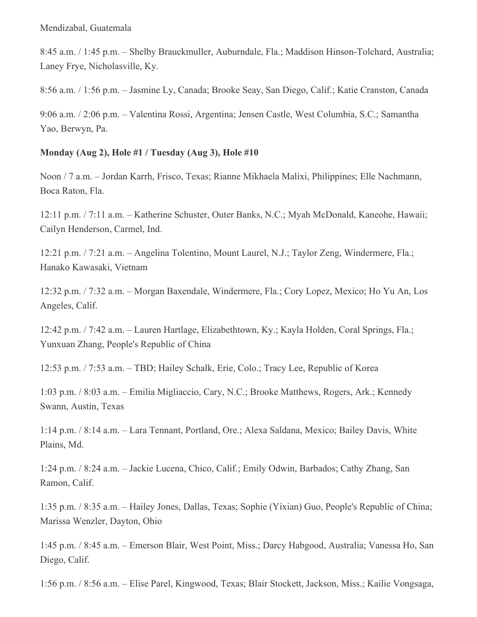8:45 a.m. / 1:45 p.m. – Shelby Brauckmuller, Auburndale, Fla.; Maddison Hinson-Tolchard, Australia; Laney Frye, Nicholasville, Ky.

8:56 a.m. / 1:56 p.m. – Jasmine Ly, Canada; Brooke Seay, San Diego, Calif.; Katie Cranston, Canada

9:06 a.m. / 2:06 p.m. – Valentina Rossi, Argentina; Jensen Castle, West Columbia, S.C.; Samantha Yao, Berwyn, Pa.

# **Monday (Aug 2), Hole #1 / Tuesday (Aug 3), Hole #10**

Noon / 7 a.m. – Jordan Karrh, Frisco, Texas; Rianne Mikhaela Malixi, Philippines; Elle Nachmann, Boca Raton, Fla.

12:11 p.m. / 7:11 a.m. – Katherine Schuster, Outer Banks, N.C.; Myah McDonald, Kaneohe, Hawaii; Cailyn Henderson, Carmel, Ind.

12:21 p.m. / 7:21 a.m. – Angelina Tolentino, Mount Laurel, N.J.; Taylor Zeng, Windermere, Fla.; Hanako Kawasaki, Vietnam

12:32 p.m. / 7:32 a.m. – Morgan Baxendale, Windermere, Fla.; Cory Lopez, Mexico; Ho Yu An, Los Angeles, Calif.

12:42 p.m. / 7:42 a.m. – Lauren Hartlage, Elizabethtown, Ky.; Kayla Holden, Coral Springs, Fla.; Yunxuan Zhang, People's Republic of China

12:53 p.m. / 7:53 a.m. – TBD; Hailey Schalk, Erie, Colo.; Tracy Lee, Republic of Korea

1:03 p.m. / 8:03 a.m. – Emilia Migliaccio, Cary, N.C.; Brooke Matthews, Rogers, Ark.; Kennedy Swann, Austin, Texas

1:14 p.m. / 8:14 a.m. – Lara Tennant, Portland, Ore.; Alexa Saldana, Mexico; Bailey Davis, White Plains, Md.

1:24 p.m. / 8:24 a.m. – Jackie Lucena, Chico, Calif.; Emily Odwin, Barbados; Cathy Zhang, San Ramon, Calif.

1:35 p.m. / 8:35 a.m. – Hailey Jones, Dallas, Texas; Sophie (Yixian) Guo, People's Republic of China; Marissa Wenzler, Dayton, Ohio

1:45 p.m. / 8:45 a.m. – Emerson Blair, West Point, Miss.; Darcy Habgood, Australia; Vanessa Ho, San Diego, Calif.

1:56 p.m. / 8:56 a.m. – Elise Parel, Kingwood, Texas; Blair Stockett, Jackson, Miss.; Kailie Vongsaga,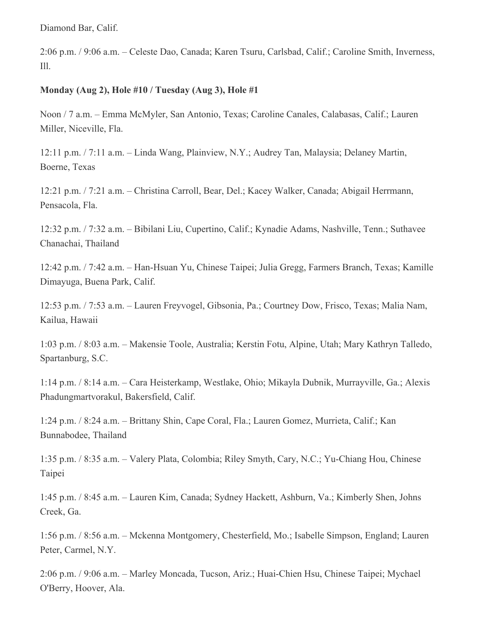Diamond Bar, Calif.

2:06 p.m. / 9:06 a.m. – Celeste Dao, Canada; Karen Tsuru, Carlsbad, Calif.; Caroline Smith, Inverness, Ill.

### **Monday (Aug 2), Hole #10 / Tuesday (Aug 3), Hole #1**

Noon / 7 a.m. – Emma McMyler, San Antonio, Texas; Caroline Canales, Calabasas, Calif.; Lauren Miller, Niceville, Fla.

12:11 p.m. / 7:11 a.m. – Linda Wang, Plainview, N.Y.; Audrey Tan, Malaysia; Delaney Martin, Boerne, Texas

12:21 p.m. / 7:21 a.m. – Christina Carroll, Bear, Del.; Kacey Walker, Canada; Abigail Herrmann, Pensacola, Fla.

12:32 p.m. / 7:32 a.m. – Bibilani Liu, Cupertino, Calif.; Kynadie Adams, Nashville, Tenn.; Suthavee Chanachai, Thailand

12:42 p.m. / 7:42 a.m. – Han-Hsuan Yu, Chinese Taipei; Julia Gregg, Farmers Branch, Texas; Kamille Dimayuga, Buena Park, Calif.

12:53 p.m. / 7:53 a.m. – Lauren Freyvogel, Gibsonia, Pa.; Courtney Dow, Frisco, Texas; Malia Nam, Kailua, Hawaii

1:03 p.m. / 8:03 a.m. – Makensie Toole, Australia; Kerstin Fotu, Alpine, Utah; Mary Kathryn Talledo, Spartanburg, S.C.

1:14 p.m. / 8:14 a.m. – Cara Heisterkamp, Westlake, Ohio; Mikayla Dubnik, Murrayville, Ga.; Alexis Phadungmartvorakul, Bakersfield, Calif.

1:24 p.m. / 8:24 a.m. – Brittany Shin, Cape Coral, Fla.; Lauren Gomez, Murrieta, Calif.; Kan Bunnabodee, Thailand

1:35 p.m. / 8:35 a.m. – Valery Plata, Colombia; Riley Smyth, Cary, N.C.; Yu-Chiang Hou, Chinese Taipei

1:45 p.m. / 8:45 a.m. – Lauren Kim, Canada; Sydney Hackett, Ashburn, Va.; Kimberly Shen, Johns Creek, Ga.

1:56 p.m. / 8:56 a.m. – Mckenna Montgomery, Chesterfield, Mo.; Isabelle Simpson, England; Lauren Peter, Carmel, N.Y.

2:06 p.m. / 9:06 a.m. – Marley Moncada, Tucson, Ariz.; Huai-Chien Hsu, Chinese Taipei; Mychael O'Berry, Hoover, Ala.